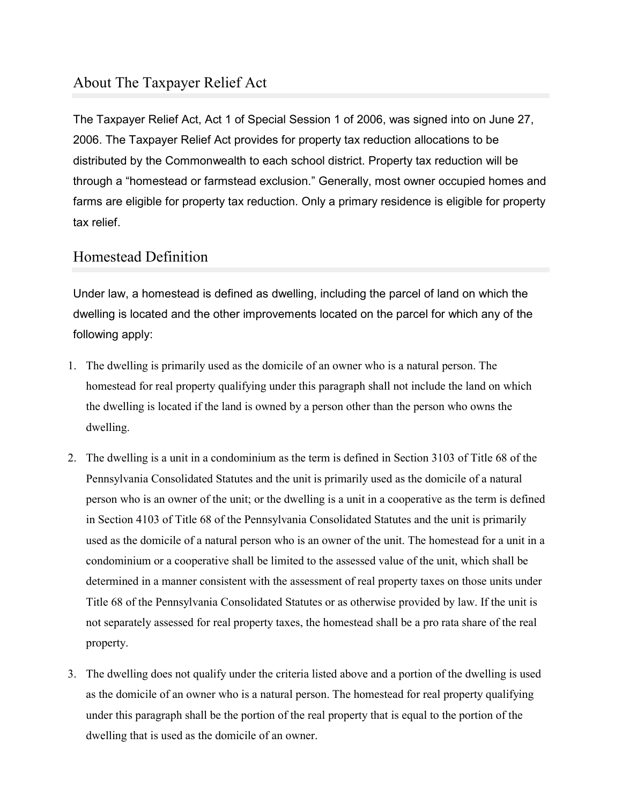# About The Taxpayer Relief Act

The Taxpayer Relief Act, Act 1 of Special Session 1 of 2006, was signed into on June 27, 2006. The Taxpayer Relief Act provides for property tax reduction allocations to be distributed by the Commonwealth to each school district. Property tax reduction will be through a "homestead or farmstead exclusion." Generally, most owner occupied homes and farms are eligible for property tax reduction. Only a primary residence is eligible for property tax relief.

### Homestead Definition

Under law, a homestead is defined as dwelling, including the parcel of land on which the dwelling is located and the other improvements located on the parcel for which any of the following apply:

- 1. The dwelling is primarily used as the domicile of an owner who is a natural person. The homestead for real property qualifying under this paragraph shall not include the land on which the dwelling is located if the land is owned by a person other than the person who owns the dwelling.
- 2. The dwelling is a unit in a condominium as the term is defined in Section 3103 of Title 68 of the Pennsylvania Consolidated Statutes and the unit is primarily used as the domicile of a natural person who is an owner of the unit; or the dwelling is a unit in a cooperative as the term is defined in Section 4103 of Title 68 of the Pennsylvania Consolidated Statutes and the unit is primarily used as the domicile of a natural person who is an owner of the unit. The homestead for a unit in a condominium or a cooperative shall be limited to the assessed value of the unit, which shall be determined in a manner consistent with the assessment of real property taxes on those units under Title 68 of the Pennsylvania Consolidated Statutes or as otherwise provided by law. If the unit is not separately assessed for real property taxes, the homestead shall be a pro rata share of the real property.
- 3. The dwelling does not qualify under the criteria listed above and a portion of the dwelling is used as the domicile of an owner who is a natural person. The homestead for real property qualifying under this paragraph shall be the portion of the real property that is equal to the portion of the dwelling that is used as the domicile of an owner.